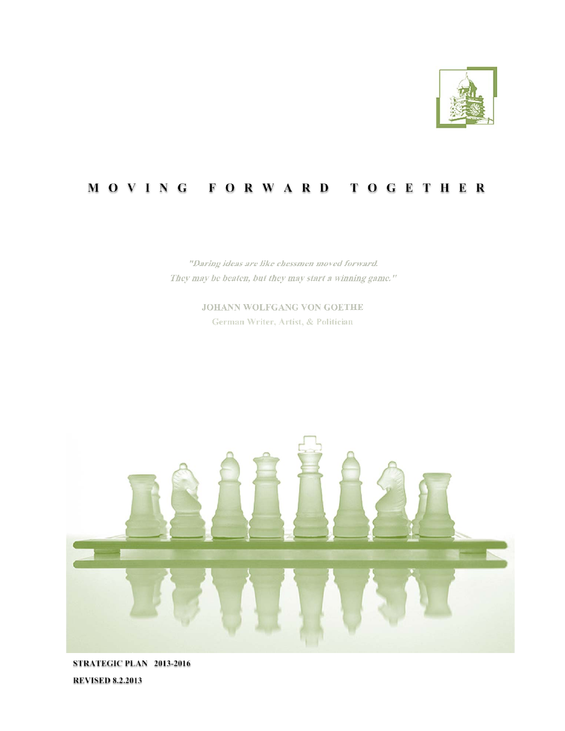

## MOVING FORWARD TOGETHER

"Daring ideas are like chessmen moved forward. They may be beaten, but they may start a winning game."

> JOHANN WOLFGANG VON GOETHE German Writer, Artist, & Politician



STRATEGIC PLAN 2013-2016 **REVISED 8.2.2013**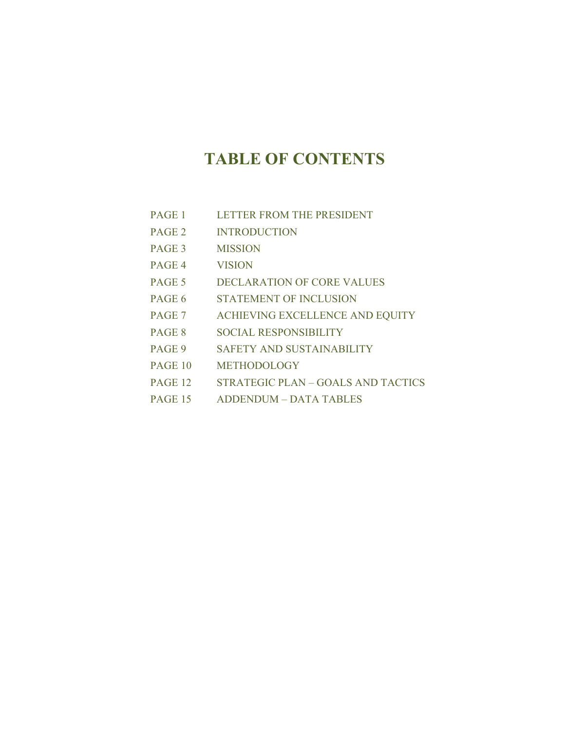# **TABLE OF CONTENTS**

- PAGE 1 LETTER FROM THE PRESIDENT
- PAGE 2 INTRODUCTION
- PAGE 3 MISSION
- PAGE 4 VISION
- PAGE 5 DECLARATION OF CORE VALUES
- PAGE 6 STATEMENT OF INCLUSION
- PAGE 7 ACHIEVING EXCELLENCE AND EQUITY
- PAGE 8 SOCIAL RESPONSIBILITY
- PAGE 9 SAFETY AND SUSTAINABILITY
- PAGE 10 METHODOLOGY
- PAGE 12 STRATEGIC PLAN GOALS AND TACTICS
- PAGE 15 ADDENDUM DATA TABLES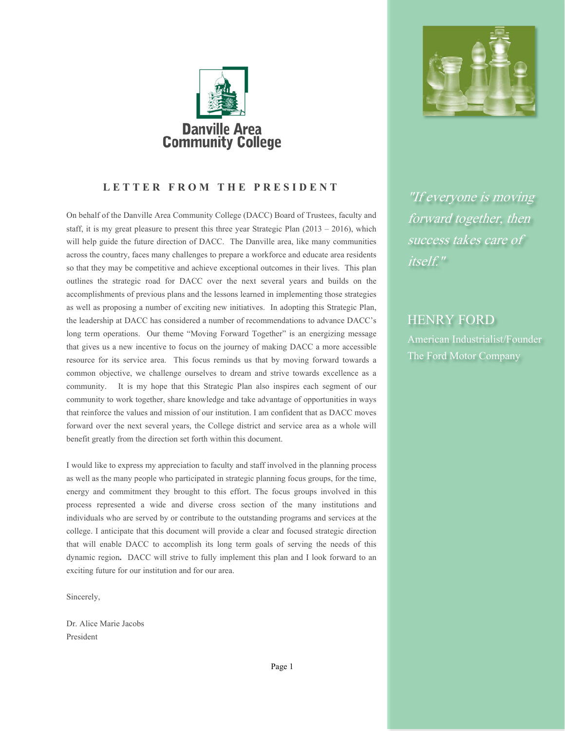

## **LETTER FROM THE PRESIDENT**

On behalf of the Danville Area Community College (DACC) Board of Trustees, faculty and staff, it is my great pleasure to present this three year Strategic Plan  $(2013 - 2016)$ , which will help guide the future direction of DACC. The Danville area, like many communities across the country, faces many challenges to prepare a workforce and educate area residents so that they may be competitive and achieve exceptional outcomes in their lives. This plan outlines the strategic road for DACC over the next several years and builds on the accomplishments of previous plans and the lessons learned in implementing those strategies as well as proposing a number of exciting new initiatives. In adopting this Strategic Plan, the leadership at DACC has considered a number of recommendations to advance DACC's long term operations. Our theme "Moving Forward Together" is an energizing message that gives us a new incentive to focus on the journey of making DACC a more accessible resource for its service area. This focus reminds us that by moving forward towards a common objective, we challenge ourselves to dream and strive towards excellence as a community. It is my hope that this Strategic Plan also inspires each segment of our community to work together, share knowledge and take advantage of opportunities in ways that reinforce the values and mission of our institution. I am confident that as DACC moves forward over the next several years, the College district and service area as a whole will benefit greatly from the direction set forth within this document.

I would like to express my appreciation to faculty and staff involved in the planning process as well as the many people who participated in strategic planning focus groups, for the time, energy and commitment they brought to this effort. The focus groups involved in this process represented a wide and diverse cross section of the many institutions and individuals who are served by or contribute to the outstanding programs and services at the college. I anticipate that this document will provide a clear and focused strategic direction that will enable DACC to accomplish its long term goals of serving the needs of this dynamic region**.** DACC will strive to fully implement this plan and I look forward to an exciting future for our institution and for our area.

Sincerely,

Dr. Alice Marie Jacobs President



"If everyone is moving forward together, then success takes care of itself."

## HENRY FORD

American Industrialist/Founder The Ford Motor Company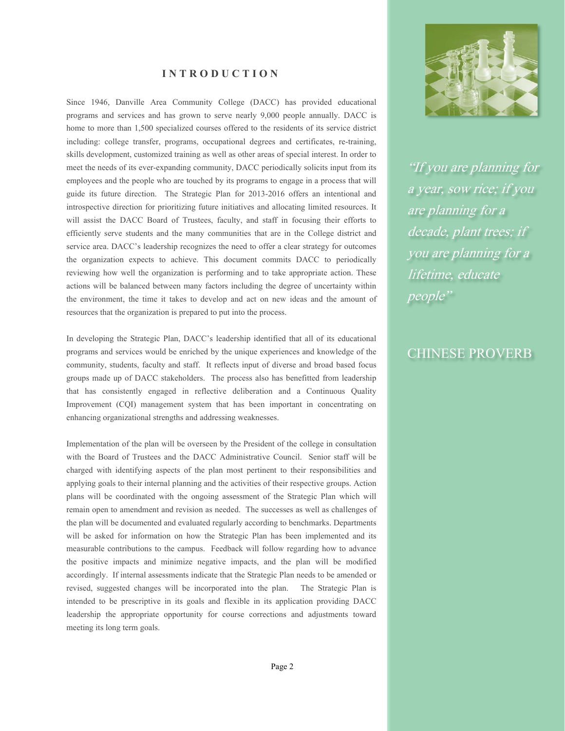#### **INTRODUCTION**

Since 1946, Danville Area Community College (DACC) has provided educational programs and services and has grown to serve nearly 9,000 people annually. DACC is home to more than 1,500 specialized courses offered to the residents of its service district including: college transfer, programs, occupational degrees and certificates, re-training, skills development, customized training as well as other areas of special interest. In order to meet the needs of its ever-expanding community, DACC periodically solicits input from its employees and the people who are touched by its programs to engage in a process that will guide its future direction. The Strategic Plan for 2013-2016 offers an intentional and introspective direction for prioritizing future initiatives and allocating limited resources. It will assist the DACC Board of Trustees, faculty, and staff in focusing their efforts to efficiently serve students and the many communities that are in the College district and service area. DACC's leadership recognizes the need to offer a clear strategy for outcomes the organization expects to achieve. This document commits DACC to periodically reviewing how well the organization is performing and to take appropriate action. These actions will be balanced between many factors including the degree of uncertainty within the environment, the time it takes to develop and act on new ideas and the amount of resources that the organization is prepared to put into the process.

In developing the Strategic Plan, DACC's leadership identified that all of its educational programs and services would be enriched by the unique experiences and knowledge of the community, students, faculty and staff. It reflects input of diverse and broad based focus groups made up of DACC stakeholders. The process also has benefitted from leadership that has consistently engaged in reflective deliberation and a Continuous Quality Improvement (CQI) management system that has been important in concentrating on enhancing organizational strengths and addressing weaknesses.

Implementation of the plan will be overseen by the President of the college in consultation with the Board of Trustees and the DACC Administrative Council. Senior staff will be charged with identifying aspects of the plan most pertinent to their responsibilities and applying goals to their internal planning and the activities of their respective groups. Action plans will be coordinated with the ongoing assessment of the Strategic Plan which will remain open to amendment and revision as needed. The successes as well as challenges of the plan will be documented and evaluated regularly according to benchmarks. Departments will be asked for information on how the Strategic Plan has been implemented and its measurable contributions to the campus. Feedback will follow regarding how to advance the positive impacts and minimize negative impacts, and the plan will be modified accordingly. If internal assessments indicate that the Strategic Plan needs to be amended or revised, suggested changes will be incorporated into the plan. The Strategic Plan is intended to be prescriptive in its goals and flexible in its application providing DACC leadership the appropriate opportunity for course corrections and adjustments toward meeting its long term goals.



"If you are planning for a year, sow rice; if you are planning for a decade, plant trees; if you are planning for a lifetime, educate people"

## CHINESE PROVERB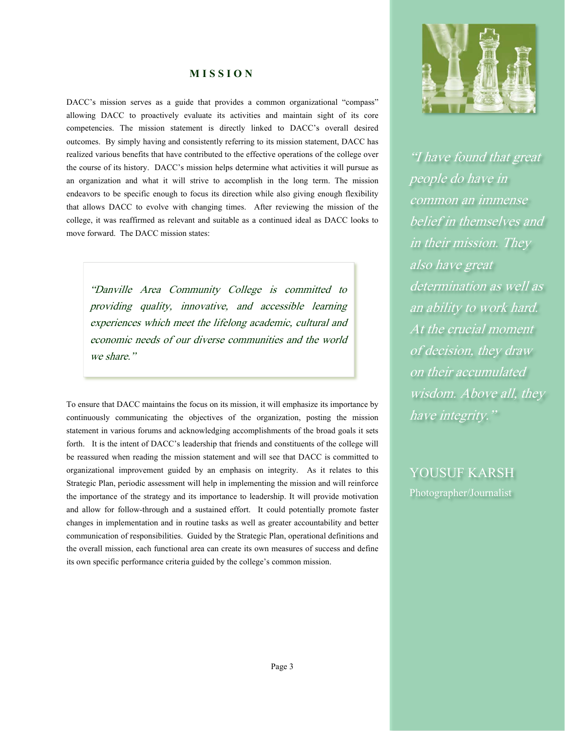#### **MISSION**

DACC's mission serves as a guide that provides a common organizational "compass" allowing DACC to proactively evaluate its activities and maintain sight of its core competencies. The mission statement is directly linked to DACC's overall desired outcomes. By simply having and consistently referring to its mission statement, DACC has realized various benefits that have contributed to the effective operations of the college over the course of its history. DACC's mission helps determine what activities it will pursue as an organization and what it will strive to accomplish in the long term. The mission endeavors to be specific enough to focus its direction while also giving enough flexibility that allows DACC to evolve with changing times. After reviewing the mission of the college, it was reaffirmed as relevant and suitable as a continued ideal as DACC looks to move forward. The DACC mission states:

"Danville Area Community College is committed to providing quality, innovative, and accessible learning experiences which meet the lifelong academic, cultural and economic needs of our diverse communities and the world we share."

To ensure that DACC maintains the focus on its mission, it will emphasize its importance by continuously communicating the objectives of the organization, posting the mission statement in various forums and acknowledging accomplishments of the broad goals it sets forth. It is the intent of DACC's leadership that friends and constituents of the college will be reassured when reading the mission statement and will see that DACC is committed to organizational improvement guided by an emphasis on integrity. As it relates to this Strategic Plan, periodic assessment will help in implementing the mission and will reinforce the importance of the strategy and its importance to leadership. It will provide motivation and allow for follow-through and a sustained effort. It could potentially promote faster changes in implementation and in routine tasks as well as greater accountability and better communication of responsibilities. Guided by the Strategic Plan, operational definitions and the overall mission, each functional area can create its own measures of success and define its own specific performance criteria guided by the college's common mission.



"I have found that great people do have in common an immense belief in themselves and in their mission. They also have great determination as well as an ability to work hard. At the crucial moment of decision, they draw on their accumulated wisdom. Above all, they have integrity."

YOUSUF KARSH Photographer/Journalist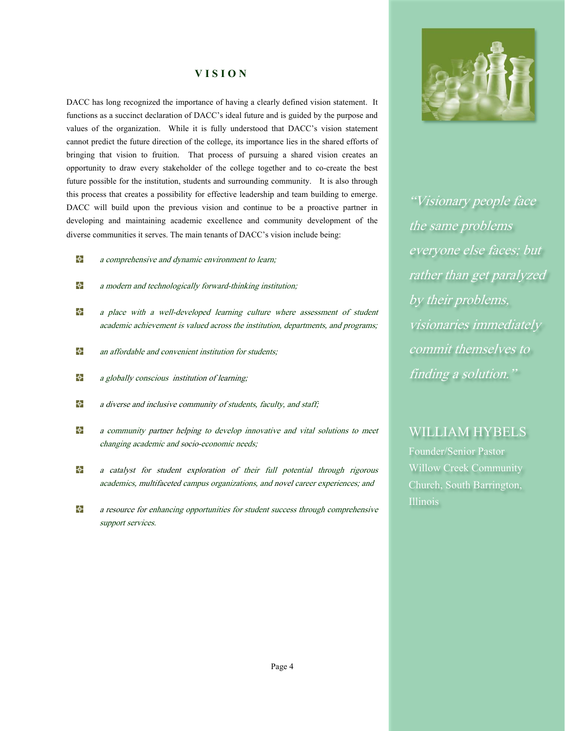#### **VISION**

DACC has long recognized the importance of having a clearly defined vision statement. It functions as a succinct declaration of DACC's ideal future and is guided by the purpose and values of the organization. While it is fully understood that DACC's vision statement cannot predict the future direction of the college, its importance lies in the shared efforts of bringing that vision to fruition. That process of pursuing a shared vision creates an opportunity to draw every stakeholder of the college together and to co-create the best future possible for the institution, students and surrounding community. It is also through this process that creates a possibility for effective leadership and team building to emerge. DACC will build upon the previous vision and continue to be a proactive partner in developing and maintaining academic excellence and community development of the diverse communities it serves. The main tenants of DACC's vision include being:

- +ф⊢ a comprehensive and dynamic environment to learn;
- ф. a modern and technologically forward-thinking institution;
- ф⊢ a place with a well-developed learning culture where assessment of student academic achievement is valued across the institution, departments, and programs;
- ф. an affordable and convenient institution for students;
- ф⊢ a globally conscious institution of learning;
- ф. a diverse and inclusive community of students, faculty, and staff;
- ф⊢ a community partner helping to develop innovative and vital solutions to meet changing academic and socio-economic needs;
- фa catalyst for student exploration of their full potential through rigorous academics, multifaceted campus organizations, and novel career experiences; and
- ф⊢ a resource for enhancing opportunities for student success through comprehensive support services.



"Visionary people face the same problems everyone else faces; but rather than get paralyzed by their problems, visionaries immediately commit themselves to finding a solution."

## WILLIAM HYBELS

Founder/Senior Pastor Willow Creek Community Church, South Barrington, Illinois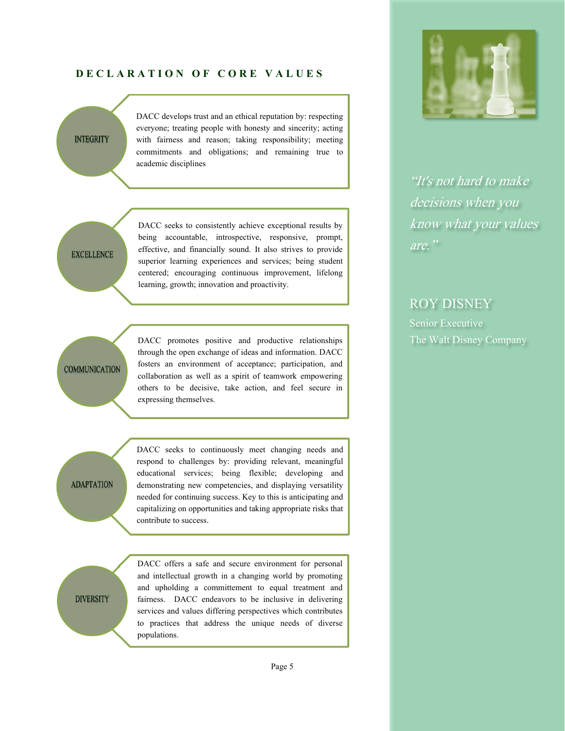#### **DECLARATION OF CORE VALUES**

### **INTEGRITY**

DACC develops trust and an ethical reputation by: respecting everyone; treating people with honesty and sincerity; acting with fairness and reason; taking responsibility; meeting commitments and obligations; and remaining true to academic disciplines

## **EXCELLENCE**

DACC seeks to consistently achieve exceptional results by being accountable, introspective, responsive, prompt, effective, and financially sound. It also strives to provide superior learning experiences and services; being student centered; encouraging continuous improvement, lifelong learning, growth; innovation and proactivity.

## **COMMUNICATION**

DACC promotes positive and productive relationships through the open exchange of ideas and information. DACC fosters an environment of acceptance; participation, and collaboration as well as a spirit of teamwork empowering others to be decisive, take action, and feel secure in expressing themselves.

**ADAPTATION** 

DACC seeks to continuously meet changing needs and respond to challenges by: providing relevant, meaningful educational services; being flexible; developing and demonstrating new competencies, and displaying versatility needed for continuing success. Key to this is anticipating and capitalizing on opportunities and taking appropriate risks that contribute to success.

**DIVERSITY** 

DACC offers a safe and secure environment for personal and intellectual growth in a changing world by promoting and upholding a committement to equal treatment and fairness. DACC endeavors to be inclusive in delivering services and values differing perspectives which contributes to practices that address the unique needs of diverse populations.



"It's not hard to make decisions when you know what your values are."

## ROY DISNEY

Senior Executive The Walt Disney Company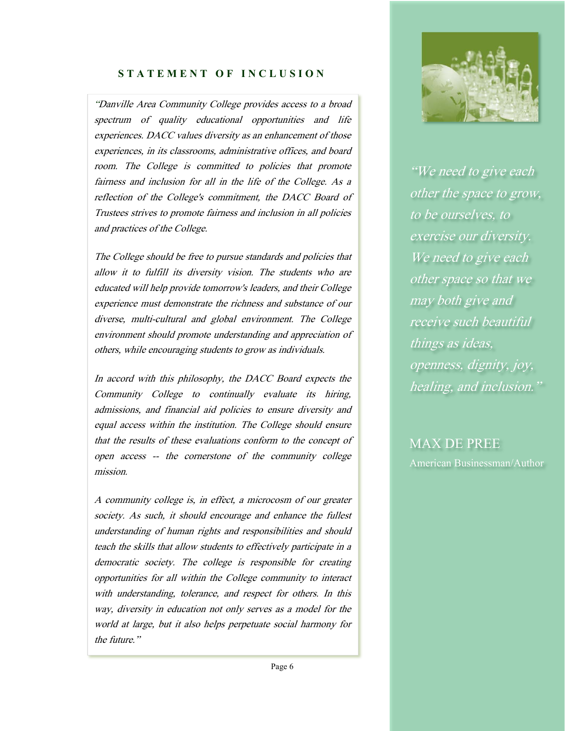## **STATEMENT OF INCLUSION**

 "Danville Area Community College provides access to a broad spectrum of quality educational opportunities and life experiences. DACC values diversity as an enhancement of those experiences, in its classrooms, administrative offices, and board room. The College is committed to policies that promote fairness and inclusion for all in the life of the College. As a reflection of the College's commitment, the DACC Board of Trustees strives to promote fairness and inclusion in all policies and practices of the College.

The College should be free to pursue standards and policies that allow it to fulfill its diversity vision. The students who are educated will help provide tomorrow's leaders, and their College experience must demonstrate the richness and substance of our diverse, multi-cultural and global environment. The College environment should promote understanding and appreciation of others, while encouraging students to grow as individuals.

In accord with this philosophy, the DACC Board expects the Community College to continually evaluate its hiring, admissions, and financial aid policies to ensure diversity and equal access within the institution. The College should ensure that the results of these evaluations conform to the concept of open access -- the cornerstone of the community college mission.

A community college is, in effect, a microcosm of our greater society. As such, it should encourage and enhance the fullest understanding of human rights and responsibilities and should teach the skills that allow students to effectively participate in a democratic society. The college is responsible for creating opportunities for all within the College community to interact with understanding, tolerance, and respect for others. In this way, diversity in education not only serves as a model for the world at large, but it also helps perpetuate social harmony for the future."



"We need to give each other the space to grow, to be ourselves, to exercise our diversity. We need to give each other space so that we may both give and receive such beautiful things as ideas, openness, dignity, joy, healing, and inclusion."

MAX DE PREE American Businessman/Author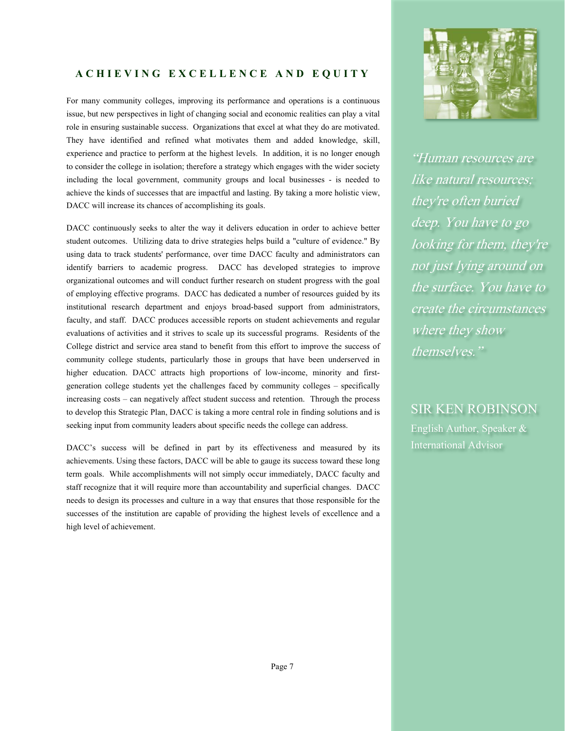## **ACHIEVING EXCELLENCE AND EQUITY**

For many community colleges, improving its performance and operations is a continuous issue, but new perspectives in light of changing social and economic realities can play a vital role in ensuring sustainable success. Organizations that excel at what they do are motivated. They have identified and refined what motivates them and added knowledge, skill, experience and practice to perform at the highest levels. In addition, it is no longer enough to consider the college in isolation; therefore a strategy which engages with the wider society including the local government, community groups and local businesses - is needed to achieve the kinds of successes that are impactful and lasting. By taking a more holistic view, DACC will increase its chances of accomplishing its goals.

DACC continuously seeks to alter the way it delivers education in order to achieve better student outcomes. Utilizing data to drive strategies helps build a "culture of evidence." By using data to track students' performance, over time DACC faculty and administrators can identify barriers to academic progress. DACC has developed strategies to improve organizational outcomes and will conduct further research on student progress with the goal of employing effective programs. DACC has dedicated a number of resources guided by its institutional research department and enjoys broad-based support from administrators, faculty, and staff. DACC produces accessible reports on student achievements and regular evaluations of activities and it strives to scale up its successful programs. Residents of the College district and service area stand to benefit from this effort to improve the success of community college students, particularly those in groups that have been underserved in higher education. DACC attracts high proportions of low-income, minority and firstgeneration college students yet the challenges faced by community colleges – specifically increasing costs – can negatively affect student success and retention. Through the process to develop this Strategic Plan, DACC is taking a more central role in finding solutions and is seeking input from community leaders about specific needs the college can address.

DACC's success will be defined in part by its effectiveness and measured by its achievements. Using these factors, DACC will be able to gauge its success toward these long term goals. While accomplishments will not simply occur immediately, DACC faculty and staff recognize that it will require more than accountability and superficial changes. DACC needs to design its processes and culture in a way that ensures that those responsible for the successes of the institution are capable of providing the highest levels of excellence and a high level of achievement.



"Human resources are like natural resources; they're often buried deep. You have to go looking for them, they're not just lying around on the surface. You have to create the circumstances where they show themselves."

SIR KEN ROBINSON English Author, Speaker & International Advisor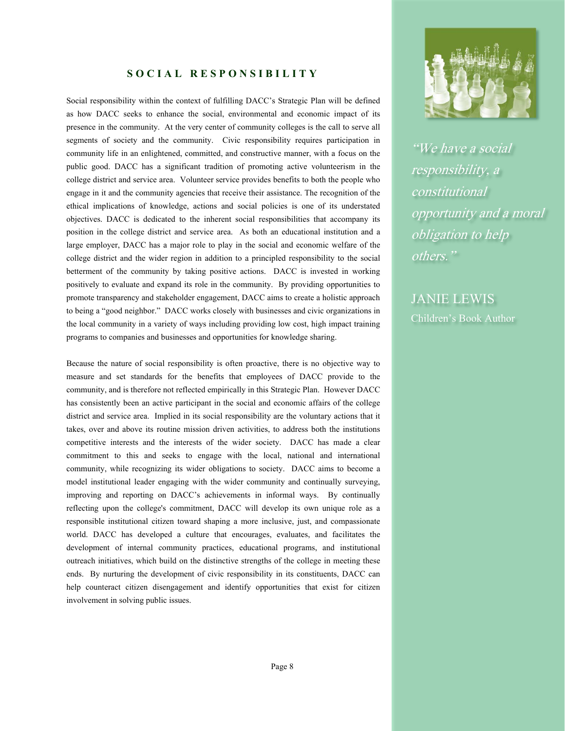#### **SOCIAL RESPONSIBILITY**

Social responsibility within the context of fulfilling DACC's Strategic Plan will be defined as how DACC seeks to enhance the social, environmental and economic impact of its presence in the community. At the very center of community colleges is the call to serve all segments of society and the community. Civic responsibility requires participation in community life in an enlightened, committed, and constructive manner, with a focus on the public good. DACC has a significant tradition of promoting active volunteerism in the college district and service area. Volunteer service provides benefits to both the people who engage in it and the community agencies that receive their assistance. The recognition of the ethical implications of knowledge, actions and social policies is one of its understated objectives. DACC is dedicated to the inherent social responsibilities that accompany its position in the college district and service area. As both an educational institution and a large employer, DACC has a major role to play in the social and economic welfare of the college district and the wider region in addition to a principled responsibility to the social betterment of the community by taking positive actions. DACC is invested in working positively to evaluate and expand its role in the community. By providing opportunities to promote transparency and stakeholder engagement, DACC aims to create a holistic approach to being a "good neighbor." DACC works closely with businesses and civic organizations in the local community in a variety of ways including providing low cost, high impact training programs to companies and businesses and opportunities for knowledge sharing.

Because the nature of social responsibility is often proactive, there is no objective way to measure and set standards for the benefits that employees of DACC provide to the community, and is therefore not reflected empirically in this Strategic Plan. However DACC has consistently been an active participant in the social and economic affairs of the college district and service area. Implied in its social responsibility are the voluntary actions that it takes, over and above its routine mission driven activities, to address both the institutions competitive interests and the interests of the wider society. DACC has made a clear commitment to this and seeks to engage with the local, national and international community, while recognizing its wider obligations to society. DACC aims to become a model institutional leader engaging with the wider community and continually surveying, improving and reporting on DACC's achievements in informal ways. By continually reflecting upon the college's commitment, DACC will develop its own unique role as a responsible institutional citizen toward shaping a more inclusive, just, and compassionate world. DACC has developed a culture that encourages, evaluates, and facilitates the development of internal community practices, educational programs, and institutional outreach initiatives, which build on the distinctive strengths of the college in meeting these ends. By nurturing the development of civic responsibility in its constituents, DACC can help counteract citizen disengagement and identify opportunities that exist for citizen involvement in solving public issues.



"We have a social responsibility, a constitutional opportunity and a moral obligation to help others."

JANIE LEWIS Children's Book Author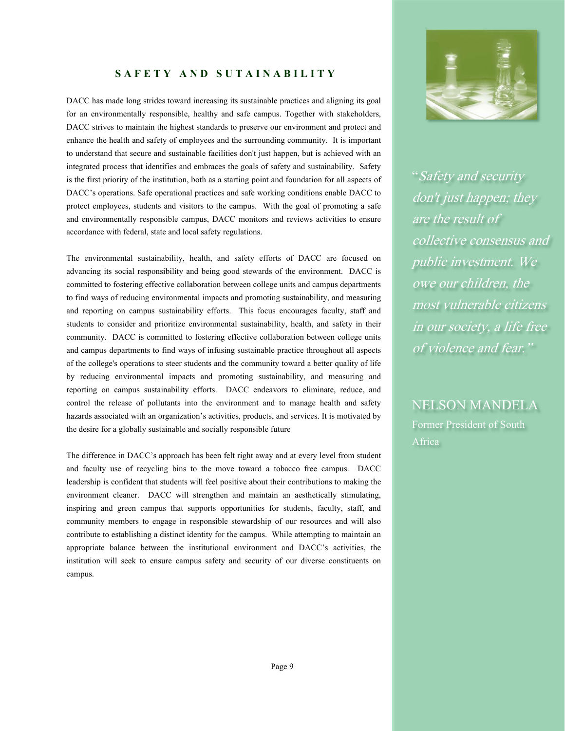#### **SAFETY AND SUTAINABILITY**

DACC has made long strides toward increasing its sustainable practices and aligning its goal for an environmentally responsible, healthy and safe campus. Together with stakeholders, DACC strives to maintain the highest standards to preserve our environment and protect and enhance the health and safety of employees and the surrounding community. It is important to understand that secure and sustainable facilities don't just happen, but is achieved with an integrated process that identifies and embraces the goals of safety and sustainability. Safety is the first priority of the institution, both as a starting point and foundation for all aspects of DACC's operations. Safe operational practices and safe working conditions enable DACC to protect employees, students and visitors to the campus. With the goal of promoting a safe and environmentally responsible campus, DACC monitors and reviews activities to ensure accordance with federal, state and local safety regulations.

The environmental sustainability, health, and safety efforts of DACC are focused on advancing its social responsibility and being good stewards of the environment. DACC is committed to fostering effective collaboration between college units and campus departments to find ways of reducing environmental impacts and promoting sustainability, and measuring and reporting on campus sustainability efforts. This focus encourages faculty, staff and students to consider and prioritize environmental sustainability, health, and safety in their community. DACC is committed to fostering effective collaboration between college units and campus departments to find ways of infusing sustainable practice throughout all aspects of the college's operations to steer students and the community toward a better quality of life by reducing environmental impacts and promoting sustainability, and measuring and reporting on campus sustainability efforts. DACC endeavors to eliminate, reduce, and control the release of pollutants into the environment and to manage health and safety hazards associated with an organization's activities, products, and services. It is motivated by the desire for a globally sustainable and socially responsible future

The difference in DACC's approach has been felt right away and at every level from student and faculty use of recycling bins to the move toward a tobacco free campus. DACC leadership is confident that students will feel positive about their contributions to making the environment cleaner. DACC will strengthen and maintain an aesthetically stimulating, inspiring and green campus that supports opportunities for students, faculty, staff, and community members to engage in responsible stewardship of our resources and will also contribute to establishing a distinct identity for the campus. While attempting to maintain an appropriate balance between the institutional environment and DACC's activities, the institution will seek to ensure campus safety and security of our diverse constituents on campus.



"Safety and security don't just happen; they are the result of collective consensus and public investment. We owe our children, the most vulnerable citizens in our society, a life free of violence and fear."

NELSON MANDELA Former President of South Africa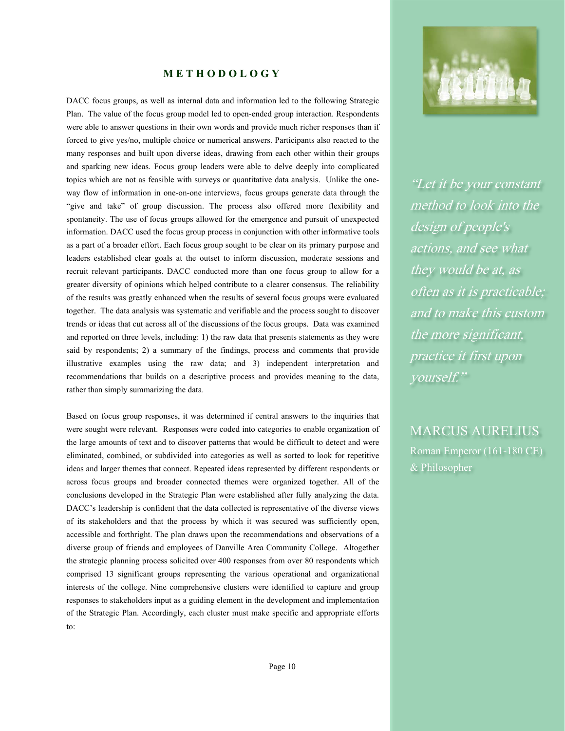#### **METHODOLOGY**

DACC focus groups, as well as internal data and information led to the following Strategic Plan. The value of the focus group model led to open-ended group interaction. Respondents were able to answer questions in their own words and provide much richer responses than if forced to give yes/no, multiple choice or numerical answers. Participants also reacted to the many responses and built upon diverse ideas, drawing from each other within their groups and sparking new ideas. Focus group leaders were able to delve deeply into complicated topics which are not as feasible with surveys or quantitative data analysis. Unlike the oneway flow of information in one-on-one interviews, focus groups generate data through the "give and take" of group discussion. The process also offered more flexibility and spontaneity. The use of focus groups allowed for the emergence and pursuit of unexpected information. DACC used the focus group process in conjunction with other informative tools as a part of a broader effort. Each focus group sought to be clear on its primary purpose and leaders established clear goals at the outset to inform discussion, moderate sessions and recruit relevant participants. DACC conducted more than one focus group to allow for a greater diversity of opinions which helped contribute to a clearer consensus. The reliability of the results was greatly enhanced when the results of several focus groups were evaluated together. The data analysis was systematic and verifiable and the process sought to discover trends or ideas that cut across all of the discussions of the focus groups. Data was examined and reported on three levels, including: 1) the raw data that presents statements as they were said by respondents; 2) a summary of the findings, process and comments that provide illustrative examples using the raw data; and 3) independent interpretation and recommendations that builds on a descriptive process and provides meaning to the data, rather than simply summarizing the data.

Based on focus group responses, it was determined if central answers to the inquiries that were sought were relevant. Responses were coded into categories to enable organization of the large amounts of text and to discover patterns that would be difficult to detect and were eliminated, combined, or subdivided into categories as well as sorted to look for repetitive ideas and larger themes that connect. Repeated ideas represented by different respondents or across focus groups and broader connected themes were organized together. All of the conclusions developed in the Strategic Plan were established after fully analyzing the data. DACC's leadership is confident that the data collected is representative of the diverse views of its stakeholders and that the process by which it was secured was sufficiently open, accessible and forthright. The plan draws upon the recommendations and observations of a diverse group of friends and employees of Danville Area Community College. Altogether the strategic planning process solicited over 400 responses from over 80 respondents which comprised 13 significant groups representing the various operational and organizational interests of the college. Nine comprehensive clusters were identified to capture and group responses to stakeholders input as a guiding element in the development and implementation of the Strategic Plan. Accordingly, each cluster must make specific and appropriate efforts to:



"Let it be your constant method to look into the design of people's actions, and see what they would be at, as often as it is practicable; and to make this custom the more significant, practice it first upon yourself."

MARCUS AURELIUS Roman Emperor (161-180 CE) & Philosopher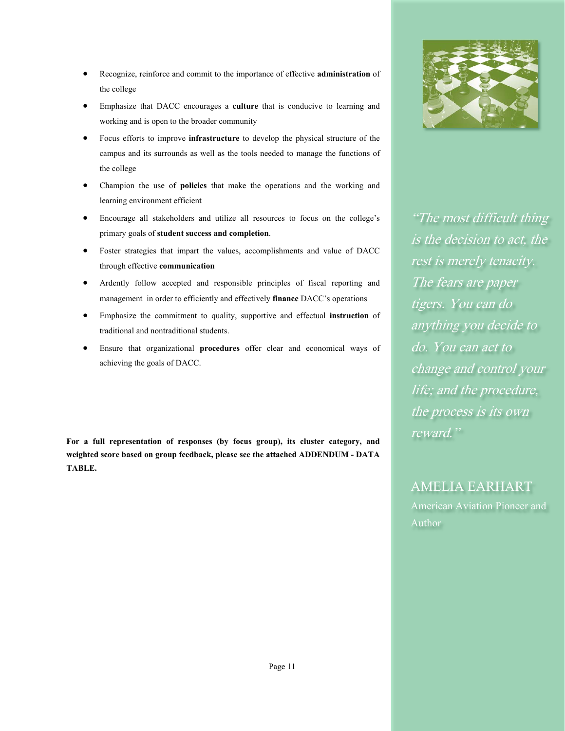- Recognize, reinforce and commit to the importance of effective **administration** of the college
- Emphasize that DACC encourages a **culture** that is conducive to learning and working and is open to the broader community
- Focus efforts to improve **infrastructure** to develop the physical structure of the campus and its surrounds as well as the tools needed to manage the functions of the college
- Champion the use of **policies** that make the operations and the working and learning environment efficient
- Encourage all stakeholders and utilize all resources to focus on the college's primary goals of **student success and completion**.
- Foster strategies that impart the values, accomplishments and value of DACC through effective **communication**
- Ardently follow accepted and responsible principles of fiscal reporting and management in order to efficiently and effectively **finance** DACC's operations
- Emphasize the commitment to quality, supportive and effectual **instruction** of traditional and nontraditional students.
- Ensure that organizational **procedures** offer clear and economical ways of achieving the goals of DACC.

**For a full representation of responses (by focus group), its cluster category, and weighted score based on group feedback, please see the attached ADDENDUM - DATA TABLE.** 



"The most difficult thing is the decision to act, the rest is merely tenacity. The fears are paper tigers. You can do anything you decide to do. You can act to change and control your life; and the procedure, the process is its own reward."

## AMELIA EARHART American Aviation Pioneer and

Author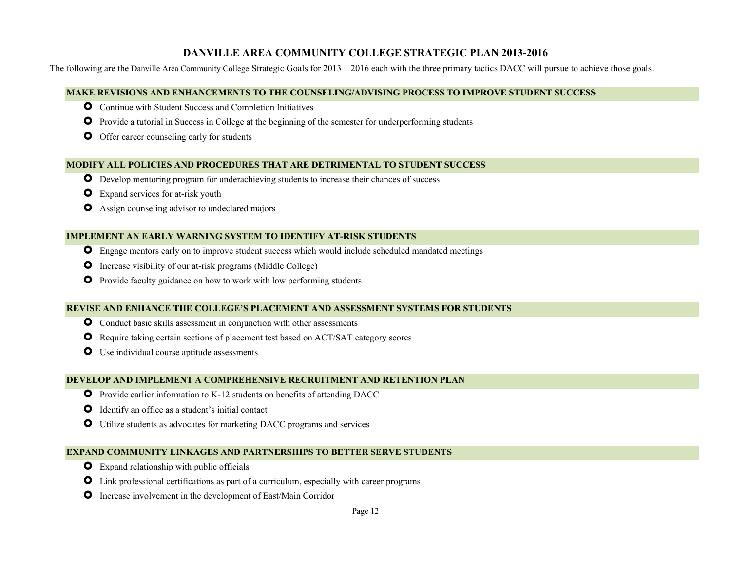## **DANVILLE AREA COMMUNITY COLLEGE STRATEGIC PLAN 2013-2016**

The following are the Danville Area Community College Strategic Goals for 2013 – 2016 each with the three primary tactics DACC will pursue to achieve those goals.

#### **MAKE REVISIONS AND ENHANCEMENTS TO THE COUNSELING/ADVISING PROCESS TO IMPROVE STUDENT SUCCESS**

- **O** Continue with Student Success and Completion Initiatives
- **O** Provide a tutorial in Success in College at the beginning of the semester for underperforming students
- **O** Offer career counseling early for students

#### **MODIFY ALL POLICIES AND PROCEDURES THAT ARE DETRIMENTAL TO STUDENT SUCCESS**

- Develop mentoring program for underachieving students to increase their chances of success
- Expand services for at-risk youth
- Assign counseling advisor to undeclared majors

#### **IMPLEMENT AN EARLY WARNING SYSTEM TO IDENTIFY AT-RISK STUDENTS**

- **O** Engage mentors early on to improve student success which would include scheduled mandated meetings
- **O** Increase visibility of our at-risk programs (Middle College)
- **O** Provide faculty guidance on how to work with low performing students

#### **REVISE AND ENHANCE THE COLLEGE'S PLACEMENT AND ASSESSMENT SYSTEMS FOR STUDENTS**

- **O** Conduct basic skills assessment in conjunction with other assessments
- Require taking certain sections of placement test based on ACT/SAT category scores
- **O** Use individual course aptitude assessments

#### **DEVELOP AND IMPLEMENT A COMPREHENSIVE RECRUITMENT AND RETENTION PLAN**

- **O** Provide earlier information to K-12 students on benefits of attending DACC
- Identify an office as a student's initial contact
- Utilize students as advocates for marketing DACC programs and services

#### **EXPAND COMMUNITY LINKAGES AND PARTNERSHIPS TO BETTER SERVE STUDENTS**

- **O** Expand relationship with public officials
- Link professional certifications as part of a curriculum, especially with career programs
- **O** Increase involvement in the development of East/Main Corridor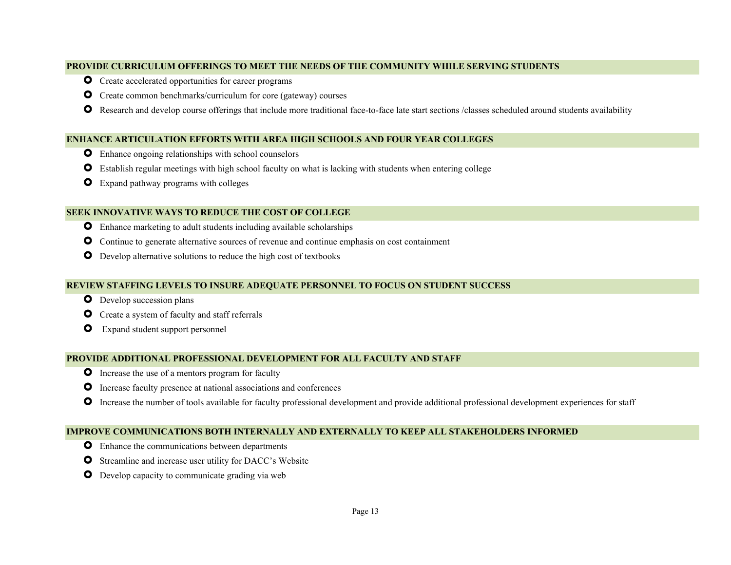#### **PROVIDE CURRICULUM OFFERINGS TO MEET THE NEEDS OF THE COMMUNITY WHILE SERVING STUDENTS**

- **O** Create accelerated opportunities for career programs
- **O** Create common benchmarks/curriculum for core (gateway) courses
- Research and develop course offerings that include more traditional face-to-face late start sections /classes scheduled around students availability

#### **ENHANCE ARTICULATION EFFORTS WITH AREA HIGH SCHOOLS AND FOUR YEAR COLLEGES**

- **O** Enhance ongoing relationships with school counselors
- **O** Establish regular meetings with high school faculty on what is lacking with students when entering college
- **O** Expand pathway programs with colleges

#### **SEEK INNOVATIVE WAYS TO REDUCE THE COST OF COLLEGE**

- **O** Enhance marketing to adult students including available scholarships
- Continue to generate alternative sources of revenue and continue emphasis on cost containment
- **O** Develop alternative solutions to reduce the high cost of textbooks

#### **REVIEW STAFFING LEVELS TO INSURE ADEQUATE PERSONNEL TO FOCUS ON STUDENT SUCCESS**

- **O** Develop succession plans
- **O** Create a system of faculty and staff referrals
- Expand student support personnel

#### **PROVIDE ADDITIONAL PROFESSIONAL DEVELOPMENT FOR ALL FACULTY AND STAFF**

- **O** Increase the use of a mentors program for faculty
- $\bullet$ Increase faculty presence at national associations and conferences
- **O** Increase the number of tools available for faculty professional development and provide additional professional development experiences for staff

#### **IMPROVE COMMUNICATIONS BOTH INTERNALLY AND EXTERNALLY TO KEEP ALL STAKEHOLDERS INFORMED**

- **O** Enhance the communications between departments
- **O** Streamline and increase user utility for DACC's Website
- **O** Develop capacity to communicate grading via web